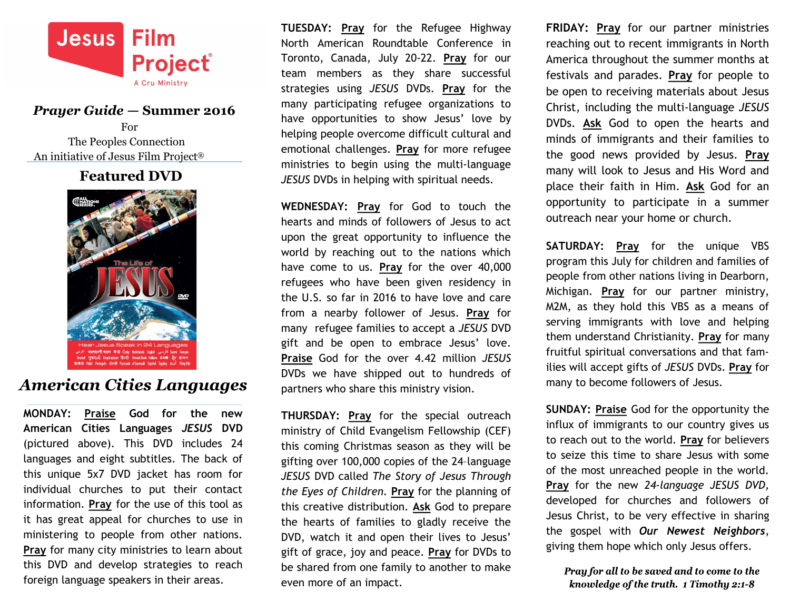

#### *Prayer Guide —* **Summer 2016**

For The Peoples Connection An initiative of Jesus Film Project®

### **Featured DVD**



# *American Cities Languages*

**MONDAY: Praise God for the new American Cities Languages** *JESUS* **DVD** (pictured above). This DVD includes 24 languages and eight subtitles. The back of this unique 5x7 DVD jacket has room for individual churches to put their contact information. **Pray** for the use of this tool as it has great appeal for churches to use in ministering to people from other nations. **Pray** for many city ministries to learn about this DVD and develop strategies to reach foreign language speakers in their areas.

**TUESDAY: Pray** for the Refugee Highway North American Roundtable Conference in Toronto, Canada, July 20-22. **Pray** for our team members as they share successful strategies using *JESUS* DVDs. **Pray** for the many participating refugee organizations to have opportunities to show Jesus' love by helping people overcome difficult cultural and emotional challenges. **Pray** for more refugee ministries to begin using the multi-language *JESUS* DVDs in helping with spiritual needs.

**WEDNESDAY: Pray** for God to touch the hearts and minds of followers of Jesus to act upon the great opportunity to influence the world by reaching out to the nations which have come to us. **Pray** for the over 40,000 refugees who have been given residency in the U.S. so far in 2016 to have love and care from a nearby follower of Jesus. **Pray** for many refugee families to accept a *JESUS* DVD gift and be open to embrace Jesus' love. **Praise** God for the over 4.42 million *JESUS* DVDs we have shipped out to hundreds of partners who share this ministry vision.

**THURSDAY: Pray** for the special outreach ministry of Child Evangelism Fellowship (CEF) this coming Christmas season as they will be gifting over 100,000 copies of the 24–language *JESUS* DVD called *The Story of Jesus Through the Eyes of Children.* **Pray** for the planning of this creative distribution. **Ask** God to prepare the hearts of families to gladly receive the DVD, watch it and open their lives to Jesus' gift of grace, joy and peace. **Pray** for DVDs to be shared from one family to another to make even more of an impact.

**FRIDAY: Pray** for our partner ministries reaching out to recent immigrants in North America throughout the summer months at festivals and parades. **Pray** for people to be open to receiving materials about Jesus Christ, including the multi-language *JESUS* DVDs. **Ask** God to open the hearts and minds of immigrants and their families to the good news provided by Jesus. **Pray** many will look to Jesus and His Word and place their faith in Him. **Ask** God for an opportunity to participate in a summer outreach near your home or church.

**SATURDAY: Pray** for the unique VBS program this July for children and families of people from other nations living in Dearborn, Michigan. **Pray** for our partner ministry, M2M, as they hold this VBS as a means of serving immigrants with love and helping them understand Christianity. **Pray** for many fruitful spiritual conversations and that families will accept gifts of *JESUS* DVDs. **Pray** for many to become followers of Jesus.

**SUNDAY: Praise** God for the opportunity the influx of immigrants to our country gives us to reach out to the world. **Pray** for believers to seize this time to share Jesus with some of the most unreached people in the world. **Pray** for the new *24-language JESUS DVD,* developed for churches and followers of Jesus Christ, to be very effective in sharing the gospel with *Our Newest Neighbors*, giving them hope which only Jesus offers.

Pray for all to be saved and to come to the knowledge of the truth. 1 Timothy 2:1-8